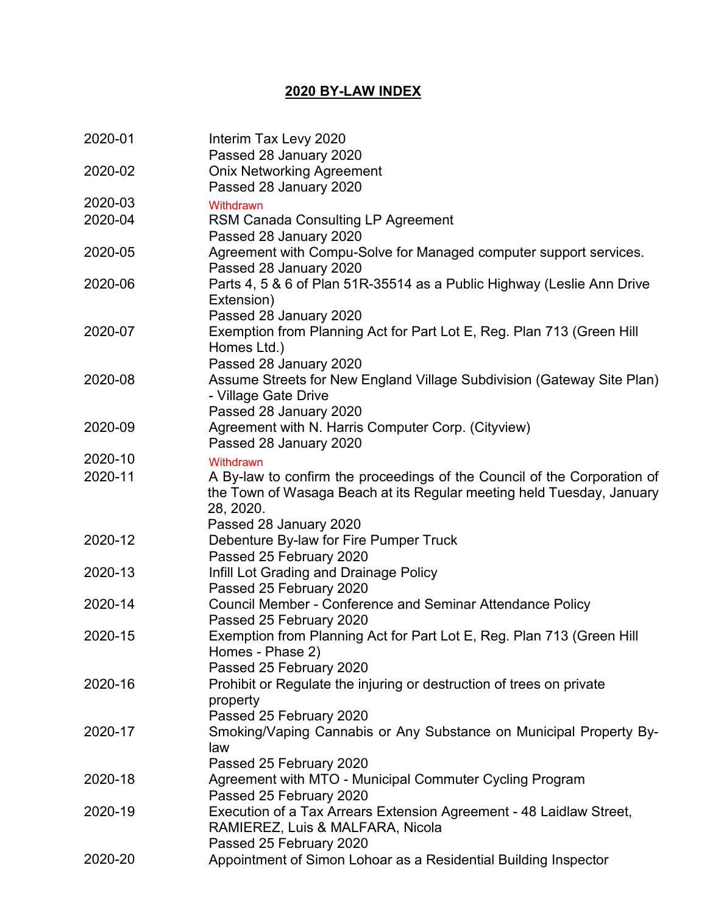## **2020 BY-LAW INDEX**

| 2020-01 | Interim Tax Levy 2020<br>Passed 28 January 2020                                    |
|---------|------------------------------------------------------------------------------------|
| 2020-02 |                                                                                    |
|         | <b>Onix Networking Agreement</b><br>Passed 28 January 2020                         |
| 2020-03 | Withdrawn                                                                          |
| 2020-04 | <b>RSM Canada Consulting LP Agreement</b>                                          |
|         | Passed 28 January 2020                                                             |
| 2020-05 | Agreement with Compu-Solve for Managed computer support services.                  |
|         | Passed 28 January 2020                                                             |
| 2020-06 | Parts 4, 5 & 6 of Plan 51R-35514 as a Public Highway (Leslie Ann Drive             |
|         | Extension)                                                                         |
|         | Passed 28 January 2020                                                             |
| 2020-07 | Exemption from Planning Act for Part Lot E, Reg. Plan 713 (Green Hill              |
|         | Homes Ltd.)                                                                        |
|         | Passed 28 January 2020                                                             |
| 2020-08 | Assume Streets for New England Village Subdivision (Gateway Site Plan)             |
|         | - Village Gate Drive                                                               |
|         | Passed 28 January 2020                                                             |
| 2020-09 | Agreement with N. Harris Computer Corp. (Cityview)                                 |
|         | Passed 28 January 2020                                                             |
| 2020-10 | Withdrawn                                                                          |
| 2020-11 | A By-law to confirm the proceedings of the Council of the Corporation of           |
|         | the Town of Wasaga Beach at its Regular meeting held Tuesday, January              |
|         | 28, 2020.                                                                          |
|         | Passed 28 January 2020                                                             |
| 2020-12 | Debenture By-law for Fire Pumper Truck                                             |
|         | Passed 25 February 2020                                                            |
| 2020-13 | Infill Lot Grading and Drainage Policy                                             |
|         | Passed 25 February 2020                                                            |
| 2020-14 | <b>Council Member - Conference and Seminar Attendance Policy</b>                   |
|         | Passed 25 February 2020                                                            |
| 2020-15 | Exemption from Planning Act for Part Lot E, Reg. Plan 713 (Green Hill              |
|         | Homes - Phase 2)                                                                   |
|         | Passed 25 February 2020                                                            |
| 2020-16 | Prohibit or Regulate the injuring or destruction of trees on private               |
|         | property                                                                           |
|         | Passed 25 February 2020                                                            |
| 2020-17 | Smoking/Vaping Cannabis or Any Substance on Municipal Property By-                 |
|         | law                                                                                |
|         | Passed 25 February 2020                                                            |
| 2020-18 | Agreement with MTO - Municipal Commuter Cycling Program<br>Passed 25 February 2020 |
| 2020-19 | Execution of a Tax Arrears Extension Agreement - 48 Laidlaw Street,                |
|         | RAMIEREZ, Luis & MALFARA, Nicola                                                   |
|         | Passed 25 February 2020                                                            |
| 2020-20 | Appointment of Simon Lohoar as a Residential Building Inspector                    |
|         |                                                                                    |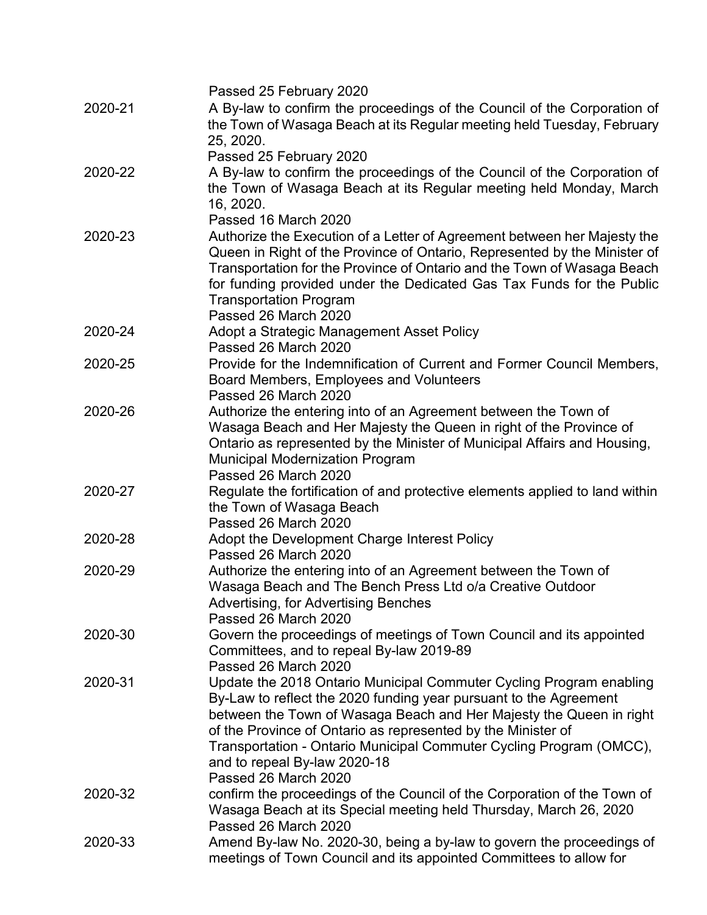|         | Passed 25 February 2020                                                                                                                                                                                                                                                                                                                                                                |
|---------|----------------------------------------------------------------------------------------------------------------------------------------------------------------------------------------------------------------------------------------------------------------------------------------------------------------------------------------------------------------------------------------|
| 2020-21 | A By-law to confirm the proceedings of the Council of the Corporation of<br>the Town of Wasaga Beach at its Regular meeting held Tuesday, February<br>25, 2020.                                                                                                                                                                                                                        |
|         | Passed 25 February 2020                                                                                                                                                                                                                                                                                                                                                                |
| 2020-22 | A By-law to confirm the proceedings of the Council of the Corporation of<br>the Town of Wasaga Beach at its Regular meeting held Monday, March<br>16, 2020.                                                                                                                                                                                                                            |
|         | Passed 16 March 2020                                                                                                                                                                                                                                                                                                                                                                   |
| 2020-23 | Authorize the Execution of a Letter of Agreement between her Majesty the<br>Queen in Right of the Province of Ontario, Represented by the Minister of<br>Transportation for the Province of Ontario and the Town of Wasaga Beach<br>for funding provided under the Dedicated Gas Tax Funds for the Public<br><b>Transportation Program</b><br>Passed 26 March 2020                     |
| 2020-24 | Adopt a Strategic Management Asset Policy<br>Passed 26 March 2020                                                                                                                                                                                                                                                                                                                      |
| 2020-25 | Provide for the Indemnification of Current and Former Council Members,<br>Board Members, Employees and Volunteers<br>Passed 26 March 2020                                                                                                                                                                                                                                              |
| 2020-26 | Authorize the entering into of an Agreement between the Town of<br>Wasaga Beach and Her Majesty the Queen in right of the Province of<br>Ontario as represented by the Minister of Municipal Affairs and Housing,<br><b>Municipal Modernization Program</b><br>Passed 26 March 2020                                                                                                    |
| 2020-27 | Regulate the fortification of and protective elements applied to land within<br>the Town of Wasaga Beach<br>Passed 26 March 2020                                                                                                                                                                                                                                                       |
| 2020-28 | Adopt the Development Charge Interest Policy<br>Passed 26 March 2020                                                                                                                                                                                                                                                                                                                   |
| 2020-29 | Authorize the entering into of an Agreement between the Town of<br>Wasaga Beach and The Bench Press Ltd o/a Creative Outdoor<br>Advertising, for Advertising Benches<br>Passed 26 March 2020                                                                                                                                                                                           |
| 2020-30 | Govern the proceedings of meetings of Town Council and its appointed<br>Committees, and to repeal By-law 2019-89<br>Passed 26 March 2020                                                                                                                                                                                                                                               |
| 2020-31 | Update the 2018 Ontario Municipal Commuter Cycling Program enabling<br>By-Law to reflect the 2020 funding year pursuant to the Agreement<br>between the Town of Wasaga Beach and Her Majesty the Queen in right<br>of the Province of Ontario as represented by the Minister of<br>Transportation - Ontario Municipal Commuter Cycling Program (OMCC),<br>and to repeal By-law 2020-18 |
| 2020-32 | Passed 26 March 2020<br>confirm the proceedings of the Council of the Corporation of the Town of<br>Wasaga Beach at its Special meeting held Thursday, March 26, 2020                                                                                                                                                                                                                  |
| 2020-33 | Passed 26 March 2020<br>Amend By-law No. 2020-30, being a by-law to govern the proceedings of<br>meetings of Town Council and its appointed Committees to allow for                                                                                                                                                                                                                    |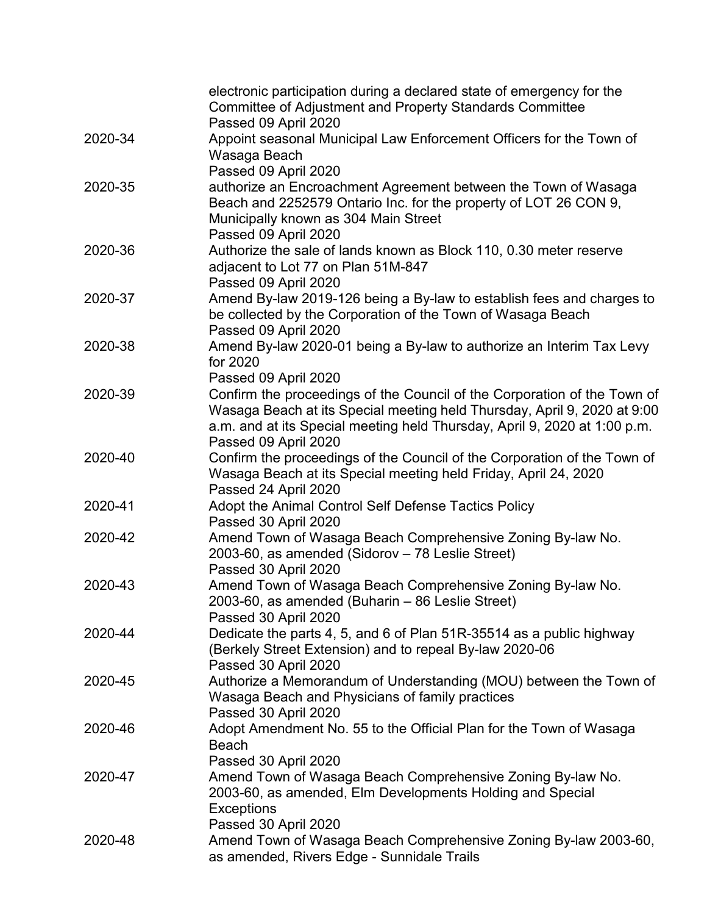|         | electronic participation during a declared state of emergency for the<br>Committee of Adjustment and Property Standards Committee                                                                                                 |
|---------|-----------------------------------------------------------------------------------------------------------------------------------------------------------------------------------------------------------------------------------|
|         | Passed 09 April 2020                                                                                                                                                                                                              |
| 2020-34 | Appoint seasonal Municipal Law Enforcement Officers for the Town of                                                                                                                                                               |
|         | Wasaga Beach                                                                                                                                                                                                                      |
|         | Passed 09 April 2020                                                                                                                                                                                                              |
| 2020-35 | authorize an Encroachment Agreement between the Town of Wasaga<br>Beach and 2252579 Ontario Inc. for the property of LOT 26 CON 9,<br>Municipally known as 304 Main Street                                                        |
|         | Passed 09 April 2020                                                                                                                                                                                                              |
| 2020-36 | Authorize the sale of lands known as Block 110, 0.30 meter reserve                                                                                                                                                                |
|         | adjacent to Lot 77 on Plan 51M-847                                                                                                                                                                                                |
|         | Passed 09 April 2020                                                                                                                                                                                                              |
| 2020-37 | Amend By-law 2019-126 being a By-law to establish fees and charges to<br>be collected by the Corporation of the Town of Wasaga Beach                                                                                              |
|         | Passed 09 April 2020                                                                                                                                                                                                              |
| 2020-38 | Amend By-law 2020-01 being a By-law to authorize an Interim Tax Levy<br>for 2020                                                                                                                                                  |
|         | Passed 09 April 2020                                                                                                                                                                                                              |
| 2020-39 | Confirm the proceedings of the Council of the Corporation of the Town of<br>Wasaga Beach at its Special meeting held Thursday, April 9, 2020 at 9:00<br>a.m. and at its Special meeting held Thursday, April 9, 2020 at 1:00 p.m. |
|         | Passed 09 April 2020                                                                                                                                                                                                              |
| 2020-40 | Confirm the proceedings of the Council of the Corporation of the Town of<br>Wasaga Beach at its Special meeting held Friday, April 24, 2020<br>Passed 24 April 2020                                                               |
| 2020-41 | Adopt the Animal Control Self Defense Tactics Policy                                                                                                                                                                              |
|         | Passed 30 April 2020                                                                                                                                                                                                              |
| 2020-42 | Amend Town of Wasaga Beach Comprehensive Zoning By-law No.                                                                                                                                                                        |
|         | 2003-60, as amended (Sidorov - 78 Leslie Street)                                                                                                                                                                                  |
|         | Passed 30 April 2020                                                                                                                                                                                                              |
| 2020-43 | Amend Town of Wasaga Beach Comprehensive Zoning By-law No.                                                                                                                                                                        |
|         | 2003-60, as amended (Buharin - 86 Leslie Street)                                                                                                                                                                                  |
|         | Passed 30 April 2020                                                                                                                                                                                                              |
| 2020-44 | Dedicate the parts 4, 5, and 6 of Plan 51R-35514 as a public highway                                                                                                                                                              |
|         | (Berkely Street Extension) and to repeal By-law 2020-06                                                                                                                                                                           |
|         | Passed 30 April 2020                                                                                                                                                                                                              |
| 2020-45 | Authorize a Memorandum of Understanding (MOU) between the Town of                                                                                                                                                                 |
|         | Wasaga Beach and Physicians of family practices                                                                                                                                                                                   |
|         | Passed 30 April 2020                                                                                                                                                                                                              |
| 2020-46 | Adopt Amendment No. 55 to the Official Plan for the Town of Wasaga                                                                                                                                                                |
|         | <b>Beach</b>                                                                                                                                                                                                                      |
|         | Passed 30 April 2020                                                                                                                                                                                                              |
| 2020-47 | Amend Town of Wasaga Beach Comprehensive Zoning By-law No.                                                                                                                                                                        |
|         | 2003-60, as amended, Elm Developments Holding and Special                                                                                                                                                                         |
|         | <b>Exceptions</b>                                                                                                                                                                                                                 |
|         | Passed 30 April 2020                                                                                                                                                                                                              |
| 2020-48 | Amend Town of Wasaga Beach Comprehensive Zoning By-law 2003-60,                                                                                                                                                                   |
|         | as amended, Rivers Edge - Sunnidale Trails                                                                                                                                                                                        |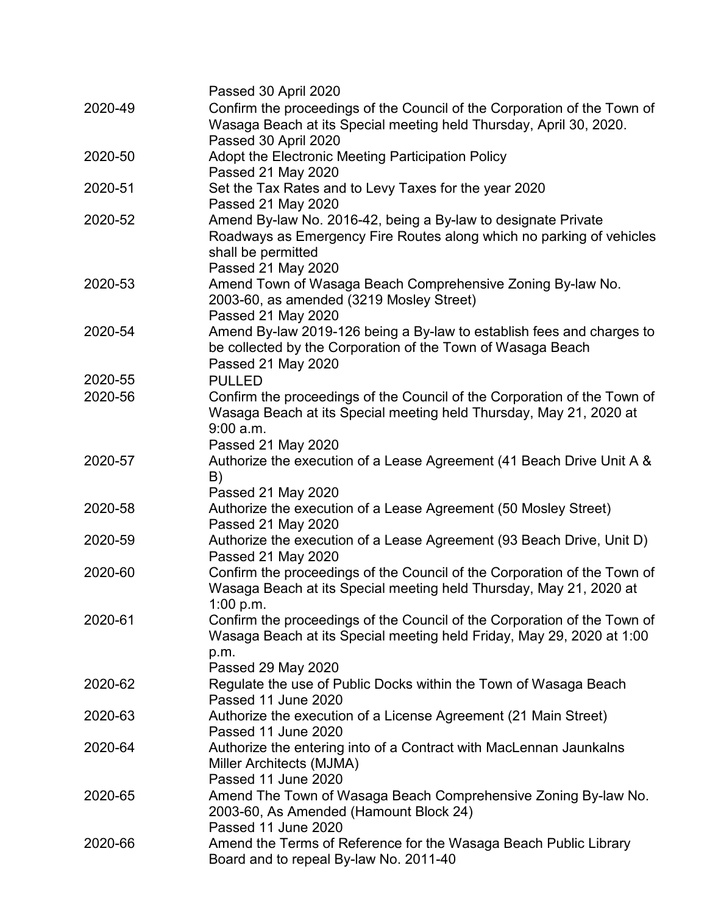|         | Passed 30 April 2020                                                                                                                                                              |
|---------|-----------------------------------------------------------------------------------------------------------------------------------------------------------------------------------|
| 2020-49 | Confirm the proceedings of the Council of the Corporation of the Town of<br>Wasaga Beach at its Special meeting held Thursday, April 30, 2020.                                    |
|         | Passed 30 April 2020                                                                                                                                                              |
| 2020-50 | Adopt the Electronic Meeting Participation Policy                                                                                                                                 |
|         | Passed 21 May 2020                                                                                                                                                                |
| 2020-51 | Set the Tax Rates and to Levy Taxes for the year 2020                                                                                                                             |
|         | Passed 21 May 2020                                                                                                                                                                |
| 2020-52 | Amend By-law No. 2016-42, being a By-law to designate Private<br>Roadways as Emergency Fire Routes along which no parking of vehicles<br>shall be permitted<br>Passed 21 May 2020 |
| 2020-53 | Amend Town of Wasaga Beach Comprehensive Zoning By-law No.                                                                                                                        |
|         | 2003-60, as amended (3219 Mosley Street)<br>Passed 21 May 2020                                                                                                                    |
| 2020-54 | Amend By-law 2019-126 being a By-law to establish fees and charges to                                                                                                             |
|         | be collected by the Corporation of the Town of Wasaga Beach<br>Passed 21 May 2020                                                                                                 |
| 2020-55 | <b>PULLED</b>                                                                                                                                                                     |
| 2020-56 | Confirm the proceedings of the Council of the Corporation of the Town of<br>Wasaga Beach at its Special meeting held Thursday, May 21, 2020 at<br>9:00 a.m.                       |
|         | Passed 21 May 2020                                                                                                                                                                |
| 2020-57 | Authorize the execution of a Lease Agreement (41 Beach Drive Unit A &<br>B)                                                                                                       |
|         | Passed 21 May 2020                                                                                                                                                                |
| 2020-58 | Authorize the execution of a Lease Agreement (50 Mosley Street)                                                                                                                   |
|         | Passed 21 May 2020                                                                                                                                                                |
| 2020-59 | Authorize the execution of a Lease Agreement (93 Beach Drive, Unit D)<br>Passed 21 May 2020                                                                                       |
| 2020-60 | Confirm the proceedings of the Council of the Corporation of the Town of<br>Wasaga Beach at its Special meeting held Thursday, May 21, 2020 at<br>1:00 p.m.                       |
| 2020-61 | Confirm the proceedings of the Council of the Corporation of the Town of<br>Wasaga Beach at its Special meeting held Friday, May 29, 2020 at 1:00                                 |
|         | p.m.                                                                                                                                                                              |
|         | Passed 29 May 2020                                                                                                                                                                |
| 2020-62 | Regulate the use of Public Docks within the Town of Wasaga Beach<br>Passed 11 June 2020                                                                                           |
| 2020-63 | Authorize the execution of a License Agreement (21 Main Street)                                                                                                                   |
|         | Passed 11 June 2020                                                                                                                                                               |
| 2020-64 | Authorize the entering into of a Contract with MacLennan Jaunkalns<br>Miller Architects (MJMA)                                                                                    |
|         | Passed 11 June 2020                                                                                                                                                               |
| 2020-65 | Amend The Town of Wasaga Beach Comprehensive Zoning By-law No.<br>2003-60, As Amended (Hamount Block 24)<br>Passed 11 June 2020                                                   |
|         |                                                                                                                                                                                   |
| 2020-66 | Amend the Terms of Reference for the Wasaga Beach Public Library<br>Board and to repeal By-law No. 2011-40                                                                        |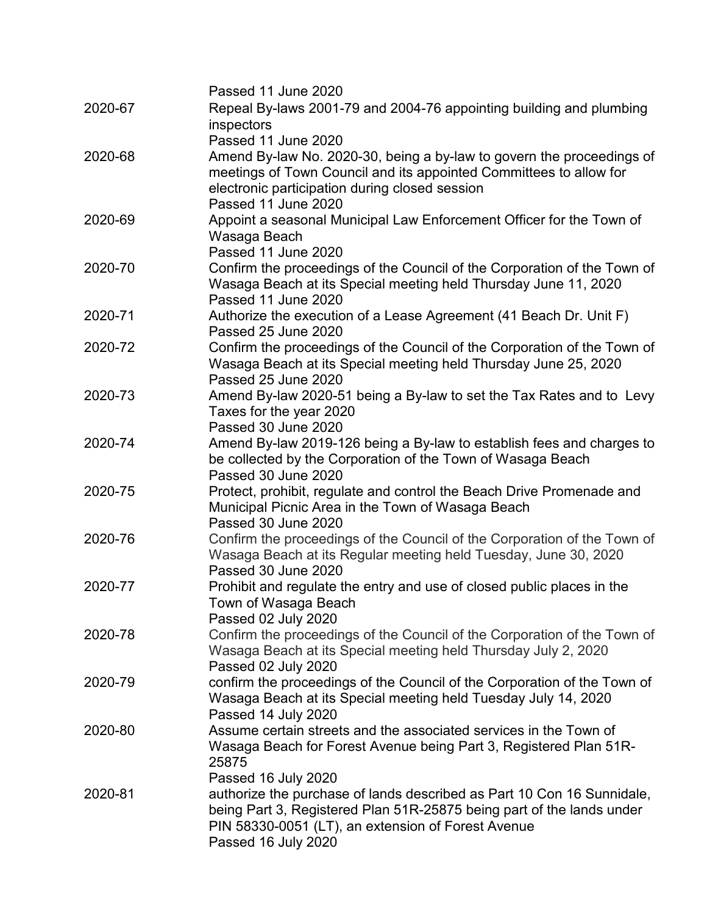|         | Passed 11 June 2020                                                      |
|---------|--------------------------------------------------------------------------|
| 2020-67 | Repeal By-laws 2001-79 and 2004-76 appointing building and plumbing      |
|         | inspectors                                                               |
|         | Passed 11 June 2020                                                      |
| 2020-68 | Amend By-law No. 2020-30, being a by-law to govern the proceedings of    |
|         | meetings of Town Council and its appointed Committees to allow for       |
|         | electronic participation during closed session                           |
|         | Passed 11 June 2020                                                      |
| 2020-69 | Appoint a seasonal Municipal Law Enforcement Officer for the Town of     |
|         | Wasaga Beach                                                             |
|         | Passed 11 June 2020                                                      |
| 2020-70 | Confirm the proceedings of the Council of the Corporation of the Town of |
|         | Wasaga Beach at its Special meeting held Thursday June 11, 2020          |
|         | Passed 11 June 2020                                                      |
| 2020-71 | Authorize the execution of a Lease Agreement (41 Beach Dr. Unit F)       |
|         | Passed 25 June 2020                                                      |
| 2020-72 | Confirm the proceedings of the Council of the Corporation of the Town of |
|         | Wasaga Beach at its Special meeting held Thursday June 25, 2020          |
|         | Passed 25 June 2020                                                      |
| 2020-73 | Amend By-law 2020-51 being a By-law to set the Tax Rates and to Levy     |
|         | Taxes for the year 2020                                                  |
|         | Passed 30 June 2020                                                      |
| 2020-74 | Amend By-law 2019-126 being a By-law to establish fees and charges to    |
|         | be collected by the Corporation of the Town of Wasaga Beach              |
|         | Passed 30 June 2020                                                      |
| 2020-75 | Protect, prohibit, regulate and control the Beach Drive Promenade and    |
|         | Municipal Picnic Area in the Town of Wasaga Beach                        |
|         | Passed 30 June 2020                                                      |
| 2020-76 | Confirm the proceedings of the Council of the Corporation of the Town of |
|         | Wasaga Beach at its Regular meeting held Tuesday, June 30, 2020          |
|         | Passed 30 June 2020                                                      |
| 2020-77 | Prohibit and regulate the entry and use of closed public places in the   |
|         | Town of Wasaga Beach                                                     |
|         | Passed 02 July 2020                                                      |
| 2020-78 | Confirm the proceedings of the Council of the Corporation of the Town of |
|         | Wasaga Beach at its Special meeting held Thursday July 2, 2020           |
|         | Passed 02 July 2020                                                      |
| 2020-79 | confirm the proceedings of the Council of the Corporation of the Town of |
|         | Wasaga Beach at its Special meeting held Tuesday July 14, 2020           |
|         | Passed 14 July 2020                                                      |
| 2020-80 | Assume certain streets and the associated services in the Town of        |
|         | Wasaga Beach for Forest Avenue being Part 3, Registered Plan 51R-        |
|         | 25875                                                                    |
|         | Passed 16 July 2020                                                      |
| 2020-81 | authorize the purchase of lands described as Part 10 Con 16 Sunnidale,   |
|         | being Part 3, Registered Plan 51R-25875 being part of the lands under    |
|         | PIN 58330-0051 (LT), an extension of Forest Avenue                       |
|         | Passed 16 July 2020                                                      |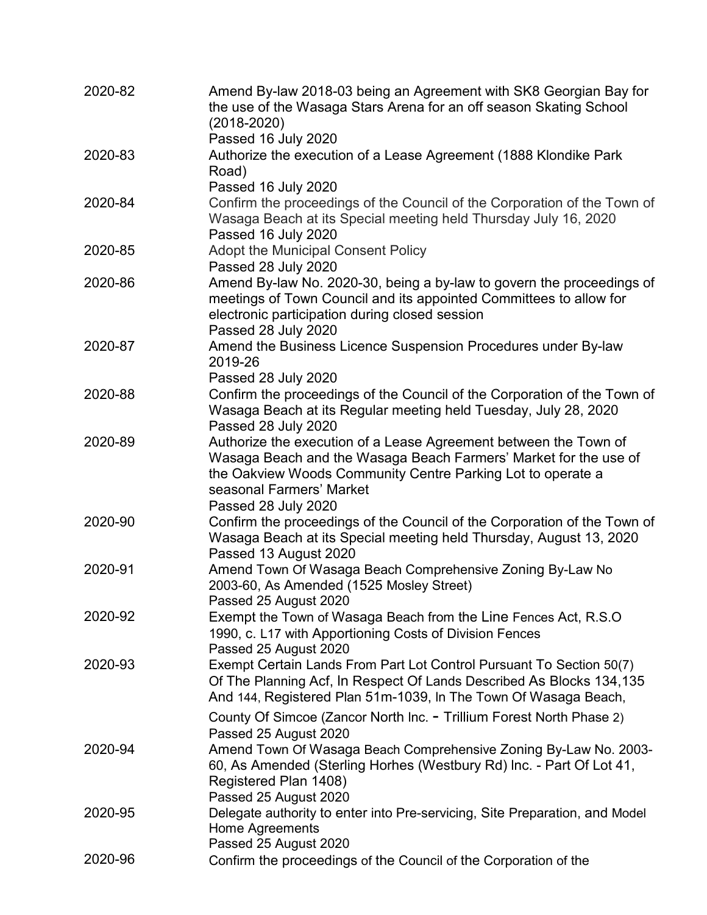| 2020-82 | Amend By-law 2018-03 being an Agreement with SK8 Georgian Bay for<br>the use of the Wasaga Stars Arena for an off season Skating School<br>(2018-2020)                                        |
|---------|-----------------------------------------------------------------------------------------------------------------------------------------------------------------------------------------------|
|         | Passed 16 July 2020                                                                                                                                                                           |
| 2020-83 | Authorize the execution of a Lease Agreement (1888 Klondike Park<br>Road)                                                                                                                     |
|         | Passed 16 July 2020                                                                                                                                                                           |
| 2020-84 | Confirm the proceedings of the Council of the Corporation of the Town of<br>Wasaga Beach at its Special meeting held Thursday July 16, 2020<br>Passed 16 July 2020                            |
| 2020-85 | Adopt the Municipal Consent Policy                                                                                                                                                            |
|         | Passed 28 July 2020                                                                                                                                                                           |
| 2020-86 | Amend By-law No. 2020-30, being a by-law to govern the proceedings of<br>meetings of Town Council and its appointed Committees to allow for<br>electronic participation during closed session |
|         | Passed 28 July 2020                                                                                                                                                                           |
| 2020-87 | Amend the Business Licence Suspension Procedures under By-law<br>2019-26                                                                                                                      |
|         | Passed 28 July 2020                                                                                                                                                                           |
| 2020-88 | Confirm the proceedings of the Council of the Corporation of the Town of<br>Wasaga Beach at its Regular meeting held Tuesday, July 28, 2020<br>Passed 28 July 2020                            |
| 2020-89 | Authorize the execution of a Lease Agreement between the Town of                                                                                                                              |
|         | Wasaga Beach and the Wasaga Beach Farmers' Market for the use of<br>the Oakview Woods Community Centre Parking Lot to operate a<br>seasonal Farmers' Market                                   |
|         | Passed 28 July 2020                                                                                                                                                                           |
| 2020-90 | Confirm the proceedings of the Council of the Corporation of the Town of                                                                                                                      |
|         | Wasaga Beach at its Special meeting held Thursday, August 13, 2020<br>Passed 13 August 2020                                                                                                   |
| 2020-91 | Amend Town Of Wasaga Beach Comprehensive Zoning By-Law No<br>2003-60, As Amended (1525 Mosley Street)<br>Passed 25 August 2020                                                                |
| 2020-92 | Exempt the Town of Wasaga Beach from the Line Fences Act, R.S.O                                                                                                                               |
|         | 1990, c. L17 with Apportioning Costs of Division Fences<br>Passed 25 August 2020                                                                                                              |
| 2020-93 | Exempt Certain Lands From Part Lot Control Pursuant To Section 50(7)                                                                                                                          |
|         | Of The Planning Acf, In Respect Of Lands Described As Blocks 134,135<br>And 144, Registered Plan 51m-1039, In The Town Of Wasaga Beach,                                                       |
|         | County Of Simcoe (Zancor North Inc. - Trillium Forest North Phase 2)<br>Passed 25 August 2020                                                                                                 |
| 2020-94 | Amend Town Of Wasaga Beach Comprehensive Zoning By-Law No. 2003-<br>60, As Amended (Sterling Horhes (Westbury Rd) Inc. - Part Of Lot 41,<br>Registered Plan 1408)<br>Passed 25 August 2020    |
| 2020-95 | Delegate authority to enter into Pre-servicing, Site Preparation, and Model                                                                                                                   |
|         | Home Agreements<br>Passed 25 August 2020                                                                                                                                                      |
| 2020-96 | Confirm the proceedings of the Council of the Corporation of the                                                                                                                              |
|         |                                                                                                                                                                                               |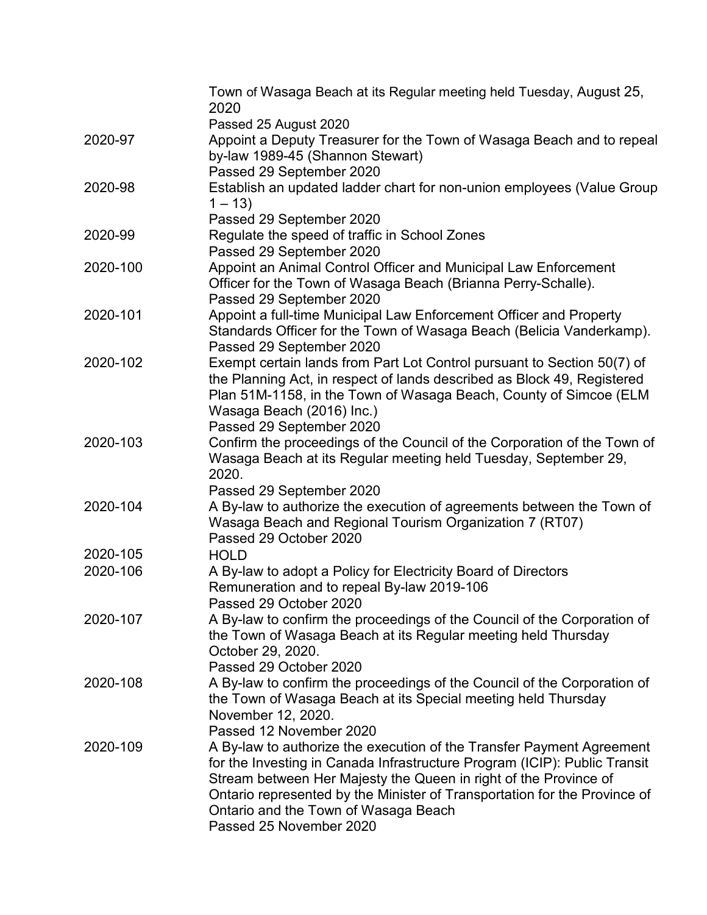|          | Town of Wasaga Beach at its Regular meeting held Tuesday, August 25,<br>2020                                                                                                                                                                                                                                                                                           |
|----------|------------------------------------------------------------------------------------------------------------------------------------------------------------------------------------------------------------------------------------------------------------------------------------------------------------------------------------------------------------------------|
|          | Passed 25 August 2020                                                                                                                                                                                                                                                                                                                                                  |
| 2020-97  | Appoint a Deputy Treasurer for the Town of Wasaga Beach and to repeal<br>by-law 1989-45 (Shannon Stewart)                                                                                                                                                                                                                                                              |
| 2020-98  | Passed 29 September 2020<br>Establish an updated ladder chart for non-union employees (Value Group<br>$1 - 13$                                                                                                                                                                                                                                                         |
|          | Passed 29 September 2020                                                                                                                                                                                                                                                                                                                                               |
| 2020-99  | Regulate the speed of traffic in School Zones<br>Passed 29 September 2020                                                                                                                                                                                                                                                                                              |
| 2020-100 | Appoint an Animal Control Officer and Municipal Law Enforcement<br>Officer for the Town of Wasaga Beach (Brianna Perry-Schalle).<br>Passed 29 September 2020                                                                                                                                                                                                           |
| 2020-101 | Appoint a full-time Municipal Law Enforcement Officer and Property<br>Standards Officer for the Town of Wasaga Beach (Belicia Vanderkamp).<br>Passed 29 September 2020                                                                                                                                                                                                 |
| 2020-102 | Exempt certain lands from Part Lot Control pursuant to Section 50(7) of<br>the Planning Act, in respect of lands described as Block 49, Registered<br>Plan 51M-1158, in the Town of Wasaga Beach, County of Simcoe (ELM<br>Wasaga Beach (2016) Inc.)                                                                                                                   |
| 2020-103 | Passed 29 September 2020<br>Confirm the proceedings of the Council of the Corporation of the Town of<br>Wasaga Beach at its Regular meeting held Tuesday, September 29,<br>2020.                                                                                                                                                                                       |
|          | Passed 29 September 2020                                                                                                                                                                                                                                                                                                                                               |
| 2020-104 | A By-law to authorize the execution of agreements between the Town of<br>Wasaga Beach and Regional Tourism Organization 7 (RT07)<br>Passed 29 October 2020                                                                                                                                                                                                             |
| 2020-105 | <b>HOLD</b>                                                                                                                                                                                                                                                                                                                                                            |
| 2020-106 | A By-law to adopt a Policy for Electricity Board of Directors<br>Remuneration and to repeal By-law 2019-106<br>Passed 29 October 2020                                                                                                                                                                                                                                  |
| 2020-107 | A By-law to confirm the proceedings of the Council of the Corporation of<br>the Town of Wasaga Beach at its Regular meeting held Thursday<br>October 29, 2020.<br>Passed 29 October 2020                                                                                                                                                                               |
| 2020-108 | A By-law to confirm the proceedings of the Council of the Corporation of<br>the Town of Wasaga Beach at its Special meeting held Thursday<br>November 12, 2020.<br>Passed 12 November 2020                                                                                                                                                                             |
| 2020-109 | A By-law to authorize the execution of the Transfer Payment Agreement<br>for the Investing in Canada Infrastructure Program (ICIP): Public Transit<br>Stream between Her Majesty the Queen in right of the Province of<br>Ontario represented by the Minister of Transportation for the Province of<br>Ontario and the Town of Wasaga Beach<br>Passed 25 November 2020 |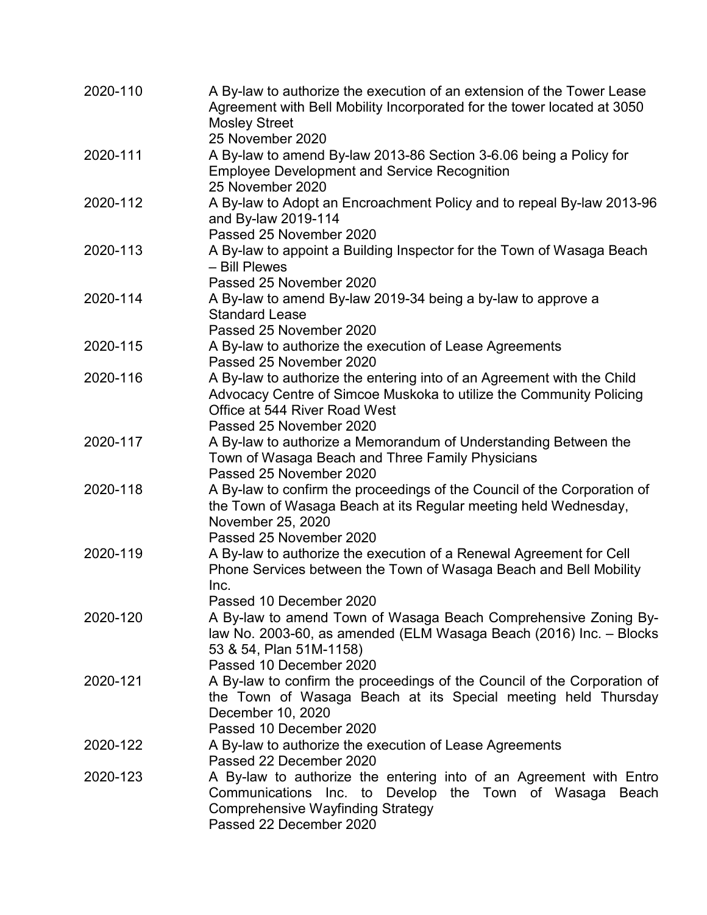| 2020-110 | A By-law to authorize the execution of an extension of the Tower Lease<br>Agreement with Bell Mobility Incorporated for the tower located at 3050<br><b>Mosley Street</b>                            |
|----------|------------------------------------------------------------------------------------------------------------------------------------------------------------------------------------------------------|
|          | 25 November 2020                                                                                                                                                                                     |
| 2020-111 | A By-law to amend By-law 2013-86 Section 3-6.06 being a Policy for<br><b>Employee Development and Service Recognition</b><br>25 November 2020                                                        |
| 2020-112 | A By-law to Adopt an Encroachment Policy and to repeal By-law 2013-96<br>and By-law 2019-114                                                                                                         |
| 2020-113 | Passed 25 November 2020<br>A By-law to appoint a Building Inspector for the Town of Wasaga Beach<br>- Bill Plewes                                                                                    |
| 2020-114 | Passed 25 November 2020<br>A By-law to amend By-law 2019-34 being a by-law to approve a<br><b>Standard Lease</b>                                                                                     |
|          | Passed 25 November 2020                                                                                                                                                                              |
| 2020-115 | A By-law to authorize the execution of Lease Agreements<br>Passed 25 November 2020                                                                                                                   |
| 2020-116 | A By-law to authorize the entering into of an Agreement with the Child<br>Advocacy Centre of Simcoe Muskoka to utilize the Community Policing<br>Office at 544 River Road West                       |
| 2020-117 | Passed 25 November 2020<br>A By-law to authorize a Memorandum of Understanding Between the<br>Town of Wasaga Beach and Three Family Physicians<br>Passed 25 November 2020                            |
| 2020-118 | A By-law to confirm the proceedings of the Council of the Corporation of<br>the Town of Wasaga Beach at its Regular meeting held Wednesday,<br>November 25, 2020                                     |
| 2020-119 | Passed 25 November 2020<br>A By-law to authorize the execution of a Renewal Agreement for Cell<br>Phone Services between the Town of Wasaga Beach and Bell Mobility                                  |
|          | Inc.<br>Passed 10 December 2020                                                                                                                                                                      |
| 2020-120 | A By-law to amend Town of Wasaga Beach Comprehensive Zoning By-<br>law No. 2003-60, as amended (ELM Wasaga Beach (2016) Inc. - Blocks<br>53 & 54, Plan 51M-1158)                                     |
| 2020-121 | Passed 10 December 2020<br>A By-law to confirm the proceedings of the Council of the Corporation of<br>the Town of Wasaga Beach at its Special meeting held Thursday<br>December 10, 2020            |
|          | Passed 10 December 2020                                                                                                                                                                              |
| 2020-122 | A By-law to authorize the execution of Lease Agreements<br>Passed 22 December 2020                                                                                                                   |
| 2020-123 | A By-law to authorize the entering into of an Agreement with Entro<br>Communications Inc. to Develop the Town of Wasaga Beach<br><b>Comprehensive Wayfinding Strategy</b><br>Passed 22 December 2020 |